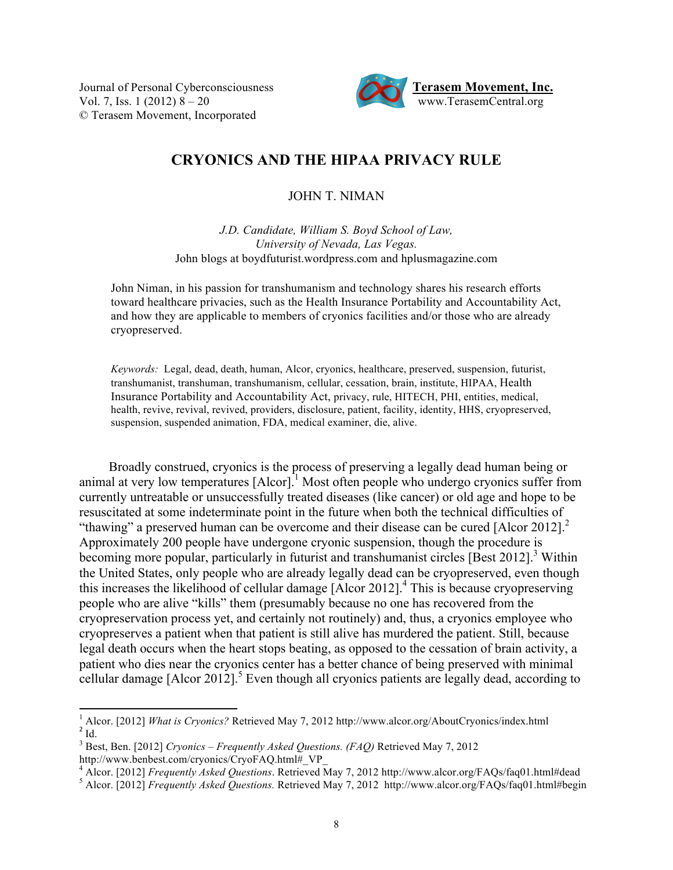Vol. 7, Iss. 1 (2012)  $8 - 20$ © Terasem Movement, Incorporated



# **CRYONICS AND THE HIPAA PRIVACY RULE**

JOHN T. NIMAN

*J.D. Candidate, William S. Boyd School of Law, University of Nevada, Las Vegas.* John blogs at boydfuturist.wordpress.com and hplusmagazine.com

John Niman, in his passion for transhumanism and technology shares his research efforts toward healthcare privacies, such as the Health Insurance Portability and Accountability Act, and how they are applicable to members of cryonics facilities and/or those who are already cryopreserved.

*Keywords:* Legal, dead, death, human, Alcor, cryonics, healthcare, preserved, suspension, futurist, transhumanist, transhuman, transhumanism, cellular, cessation, brain, institute, HIPAA, Health Insurance Portability and Accountability Act, privacy, rule, HITECH, PHI, entities, medical, health, revive, revival, revived, providers, disclosure, patient, facility, identity, HHS, cryopreserved, suspension, suspended animation, FDA, medical examiner, die, alive.

Broadly construed, cryonics is the process of preserving a legally dead human being or animal at very low temperatures  $[Alcor]$ <sup>1</sup> Most often people who undergo cryonics suffer from currently untreatable or unsuccessfully treated diseases (like cancer) or old age and hope to be resuscitated at some indeterminate point in the future when both the technical difficulties of "thawing" a preserved human can be overcome and their disease can be cured  $[Alor 2012]$ . Approximately 200 people have undergone cryonic suspension, though the procedure is becoming more popular, particularly in futurist and transhumanist circles [Best 2012].<sup>3</sup> Within the United States, only people who are already legally dead can be cryopreserved, even though this increases the likelihood of cellular damage [Alcor 2012]. 4 This is because cryopreserving people who are alive "kills" them (presumably because no one has recovered from the cryopreservation process yet, and certainly not routinely) and, thus, a cryonics employee who cryopreserves a patient when that patient is still alive has murdered the patient. Still, because legal death occurs when the heart stops beating, as opposed to the cessation of brain activity, a patient who dies near the cryonics center has a better chance of being preserved with minimal cellular damage [Alcor 2012].<sup>5</sup> Even though all cryonics patients are legally dead, according to

<sup>3</sup> Best, Ben. [2012] *Cryonics – Frequently Asked Questions. (FAQ)* Retrieved May 7, 2012 http://www.benbest.com/cryonics/CryoFAQ.html# VP

!!!!!!!!!!!!!!!!!!!!!!!!!!!!!!!!!!!!!!!!!!!!!!!!!!!!!!!!!!!!

<sup>&</sup>lt;sup>1</sup> Alcor. [2012] *What is Cryonics?* Retrieved May 7, 2012 http://www.alcor.org/AboutCryonics/index.html <sup>2</sup> Id.

Alcor. [2012] *Frequently Asked Questions*. Retrieved May 7, 2012 http://www.alcor.org/FAQs/faq01.html#dead<br>
<sup>5</sup> Alcor. [2012] *Frequently Asked Questions*. Retrieved May 7, 2012 http://www.alcor.org/FAQs/faq01.html#begin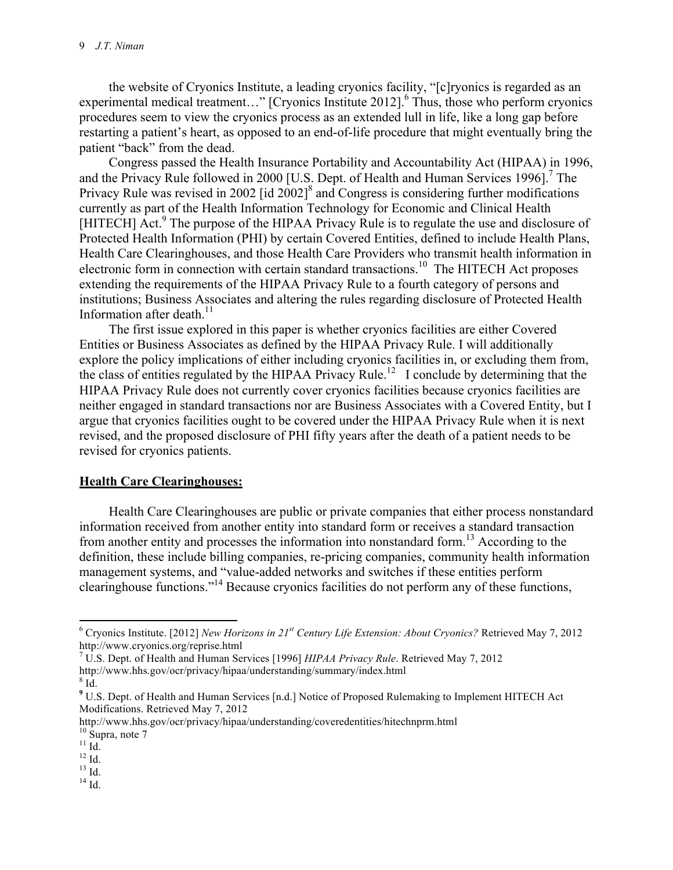the website of Cryonics Institute, a leading cryonics facility, "[c]ryonics is regarded as an experimental medical treatment..." [Cryonics Institute 2012].<sup>6</sup> Thus, those who perform cryonics procedures seem to view the cryonics process as an extended lull in life, like a long gap before restarting a patient's heart, as opposed to an end-of-life procedure that might eventually bring the patient "back" from the dead.

Congress passed the Health Insurance Portability and Accountability Act (HIPAA) in 1996, and the Privacy Rule followed in 2000 [U.S. Dept. of Health and Human Services 1996].<sup>7</sup> The Privacy Rule was revised in 2002 [id  $2002$ ]<sup>8</sup> and Congress is considering further modifications currently as part of the Health Information Technology for Economic and Clinical Health [HITECH] Act.<sup>9</sup> The purpose of the HIPAA Privacy Rule is to regulate the use and disclosure of Protected Health Information (PHI) by certain Covered Entities, defined to include Health Plans, Health Care Clearinghouses, and those Health Care Providers who transmit health information in electronic form in connection with certain standard transactions.10 The HITECH Act proposes extending the requirements of the HIPAA Privacy Rule to a fourth category of persons and institutions; Business Associates and altering the rules regarding disclosure of Protected Health Information after death.<sup>11</sup>

The first issue explored in this paper is whether cryonics facilities are either Covered Entities or Business Associates as defined by the HIPAA Privacy Rule. I will additionally explore the policy implications of either including cryonics facilities in, or excluding them from, the class of entities regulated by the HIPAA Privacy Rule.<sup>12</sup> I conclude by determining that the HIPAA Privacy Rule does not currently cover cryonics facilities because cryonics facilities are neither engaged in standard transactions nor are Business Associates with a Covered Entity, but I argue that cryonics facilities ought to be covered under the HIPAA Privacy Rule when it is next revised, and the proposed disclosure of PHI fifty years after the death of a patient needs to be revised for cryonics patients.

#### **Health Care Clearinghouses:**

!!!!!!!!!!!!!!!!!!!!!!!!!!!!!!!!!!!!!!!!!!!!!!!!!!!!!!!!!!!!

Health Care Clearinghouses are public or private companies that either process nonstandard information received from another entity into standard form or receives a standard transaction from another entity and processes the information into nonstandard form.13 According to the definition, these include billing companies, re-pricing companies, community health information management systems, and "value-added networks and switches if these entities perform clearinghouse functions."14 Because cryonics facilities do not perform any of these functions,

14 Id.

<sup>6</sup> Cryonics Institute. [2012] *New Horizons in 21st Century Life Extension: About Cryonics?* Retrieved May 7, 2012 http://www.cryonics.org/reprise.html

<sup>7</sup> U.S. Dept. of Health and Human Services [1996] *HIPAA Privacy Rule*. Retrieved May 7, 2012 http://www.hhs.gov/ocr/privacy/hipaa/understanding/summary/index.html <sup>8</sup>  $8$  Id.

**<sup>9</sup>** U.S. Dept. of Health and Human Services [n.d.] Notice of Proposed Rulemaking to Implement HITECH Act Modifications. Retrieved May 7, 2012

http://www.hhs.gov/ocr/privacy/hipaa/understanding/coveredentities/hitechnprm.html <sup>10</sup> Supra, note 7 11 Id.

 $^{12}$  Id.

 $13$  Id.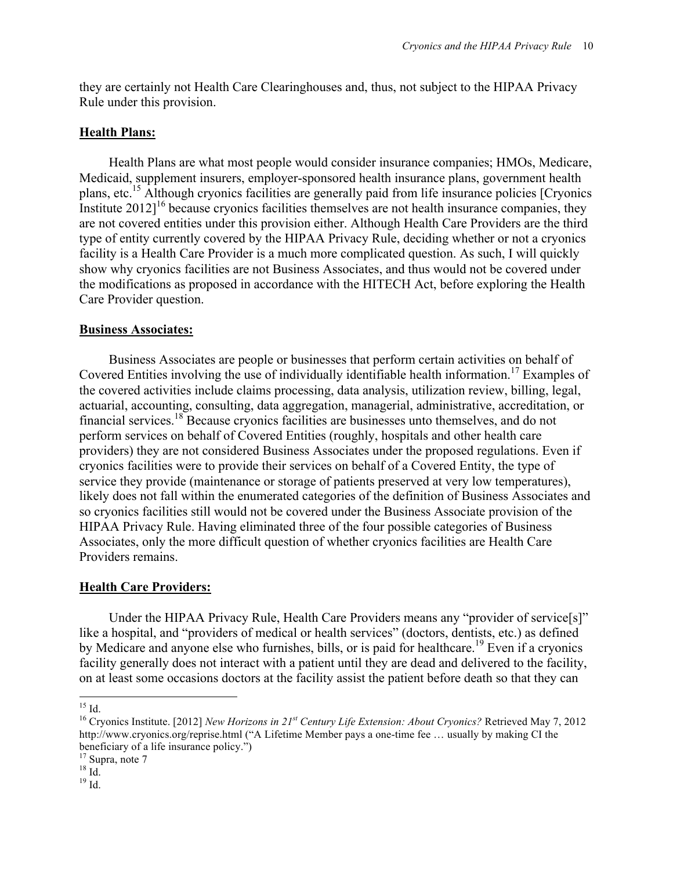they are certainly not Health Care Clearinghouses and, thus, not subject to the HIPAA Privacy Rule under this provision.

### **Health Plans:**

Health Plans are what most people would consider insurance companies; HMOs, Medicare, Medicaid, supplement insurers, employer-sponsored health insurance plans, government health plans, etc.15 Although cryonics facilities are generally paid from life insurance policies [Cryonics Institute  $2012$ <sup> $16$ </sup> because cryonics facilities themselves are not health insurance companies, they are not covered entities under this provision either. Although Health Care Providers are the third type of entity currently covered by the HIPAA Privacy Rule, deciding whether or not a cryonics facility is a Health Care Provider is a much more complicated question. As such, I will quickly show why cryonics facilities are not Business Associates, and thus would not be covered under the modifications as proposed in accordance with the HITECH Act, before exploring the Health Care Provider question.

#### **Business Associates:**

Business Associates are people or businesses that perform certain activities on behalf of Covered Entities involving the use of individually identifiable health information.17 Examples of the covered activities include claims processing, data analysis, utilization review, billing, legal, actuarial, accounting, consulting, data aggregation, managerial, administrative, accreditation, or financial services.18 Because cryonics facilities are businesses unto themselves, and do not perform services on behalf of Covered Entities (roughly, hospitals and other health care providers) they are not considered Business Associates under the proposed regulations. Even if cryonics facilities were to provide their services on behalf of a Covered Entity, the type of service they provide (maintenance or storage of patients preserved at very low temperatures), likely does not fall within the enumerated categories of the definition of Business Associates and so cryonics facilities still would not be covered under the Business Associate provision of the HIPAA Privacy Rule. Having eliminated three of the four possible categories of Business Associates, only the more difficult question of whether cryonics facilities are Health Care Providers remains.

#### **Health Care Providers:**

Under the HIPAA Privacy Rule, Health Care Providers means any "provider of service[s]" like a hospital, and "providers of medical or health services" (doctors, dentists, etc.) as defined by Medicare and anyone else who furnishes, bills, or is paid for healthcare.<sup>19</sup> Even if a cryonics facility generally does not interact with a patient until they are dead and delivered to the facility, on at least some occasions doctors at the facility assist the patient before death so that they can

<sup>!!!!!!!!!!!!!!!!!!!!!!!!!!!!!!!!!!!!!!!!!!!!!!!!!!!!!!!!!!!!</sup>  $15$  Id.

<sup>16</sup> Cryonics Institute. [2012] *New Horizons in 21st Century Life Extension: About Cryonics?* Retrieved May 7, 2012 http://www.cryonics.org/reprise.html ("A Lifetime Member pays a one-time fee … usually by making CI the beneficiary of a life insurance policy.")<br><sup>17</sup> Supra, note 7<br><sup>18</sup> Id.

 $19$  Id.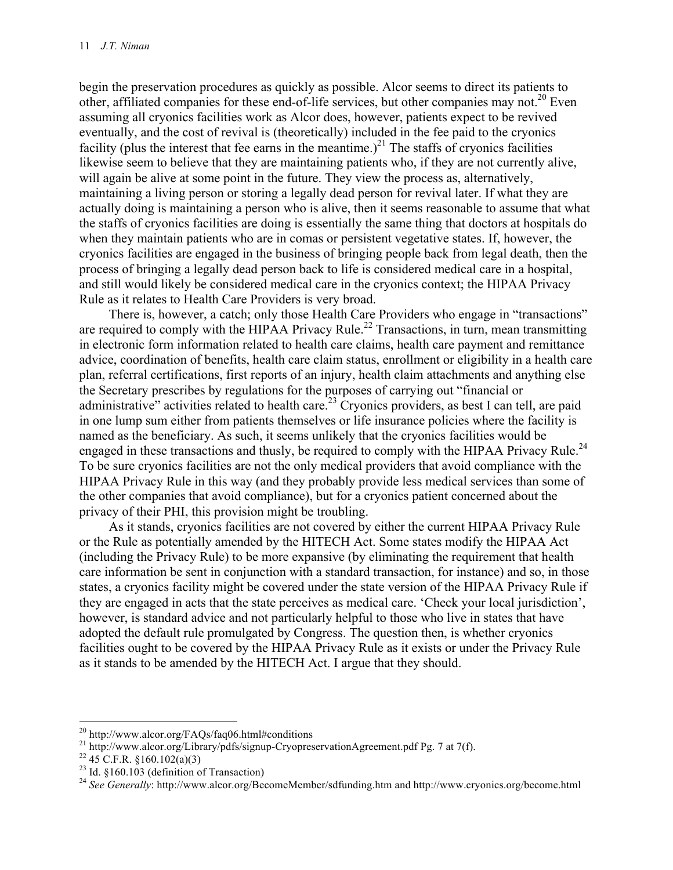begin the preservation procedures as quickly as possible. Alcor seems to direct its patients to other, affiliated companies for these end-of-life services, but other companies may not.<sup>20</sup> Even assuming all cryonics facilities work as Alcor does, however, patients expect to be revived eventually, and the cost of revival is (theoretically) included in the fee paid to the cryonics facility (plus the interest that fee earns in the meantime.)<sup>21</sup> The staffs of cryonics facilities likewise seem to believe that they are maintaining patients who, if they are not currently alive, will again be alive at some point in the future. They view the process as, alternatively, maintaining a living person or storing a legally dead person for revival later. If what they are actually doing is maintaining a person who is alive, then it seems reasonable to assume that what the staffs of cryonics facilities are doing is essentially the same thing that doctors at hospitals do when they maintain patients who are in comas or persistent vegetative states. If, however, the cryonics facilities are engaged in the business of bringing people back from legal death, then the process of bringing a legally dead person back to life is considered medical care in a hospital, and still would likely be considered medical care in the cryonics context; the HIPAA Privacy Rule as it relates to Health Care Providers is very broad.

There is, however, a catch; only those Health Care Providers who engage in "transactions" are required to comply with the HIPAA Privacy Rule.<sup>22</sup> Transactions, in turn, mean transmitting in electronic form information related to health care claims, health care payment and remittance advice, coordination of benefits, health care claim status, enrollment or eligibility in a health care plan, referral certifications, first reports of an injury, health claim attachments and anything else the Secretary prescribes by regulations for the purposes of carrying out "financial or administrative" activities related to health care.<sup>23</sup> Cryonics providers, as best I can tell, are paid in one lump sum either from patients themselves or life insurance policies where the facility is named as the beneficiary. As such, it seems unlikely that the cryonics facilities would be engaged in these transactions and thusly, be required to comply with the HIPAA Privacy Rule.<sup>24</sup> To be sure cryonics facilities are not the only medical providers that avoid compliance with the HIPAA Privacy Rule in this way (and they probably provide less medical services than some of the other companies that avoid compliance), but for a cryonics patient concerned about the privacy of their PHI, this provision might be troubling.

As it stands, cryonics facilities are not covered by either the current HIPAA Privacy Rule or the Rule as potentially amended by the HITECH Act. Some states modify the HIPAA Act (including the Privacy Rule) to be more expansive (by eliminating the requirement that health care information be sent in conjunction with a standard transaction, for instance) and so, in those states, a cryonics facility might be covered under the state version of the HIPAA Privacy Rule if they are engaged in acts that the state perceives as medical care. 'Check your local jurisdiction', however, is standard advice and not particularly helpful to those who live in states that have adopted the default rule promulgated by Congress. The question then, is whether cryonics facilities ought to be covered by the HIPAA Privacy Rule as it exists or under the Privacy Rule as it stands to be amended by the HITECH Act. I argue that they should.

 $^{20}$  http://www.alcor.org/FAQs/faq06.html#conditions

<sup>&</sup>lt;sup>21</sup> http://www.alcor.org/Library/pdfs/signup-CryopreservationAgreement.pdf Pg. 7 at 7(f).<br><sup>22</sup> 45 C.F.R. §160.102(a)(3)<br><sup>23</sup> Id. §160.103 (definition of Transaction)

<sup>&</sup>lt;sup>24</sup> See Generally: http://www.alcor.org/BecomeMember/sdfunding.htm and http://www.cryonics.org/become.html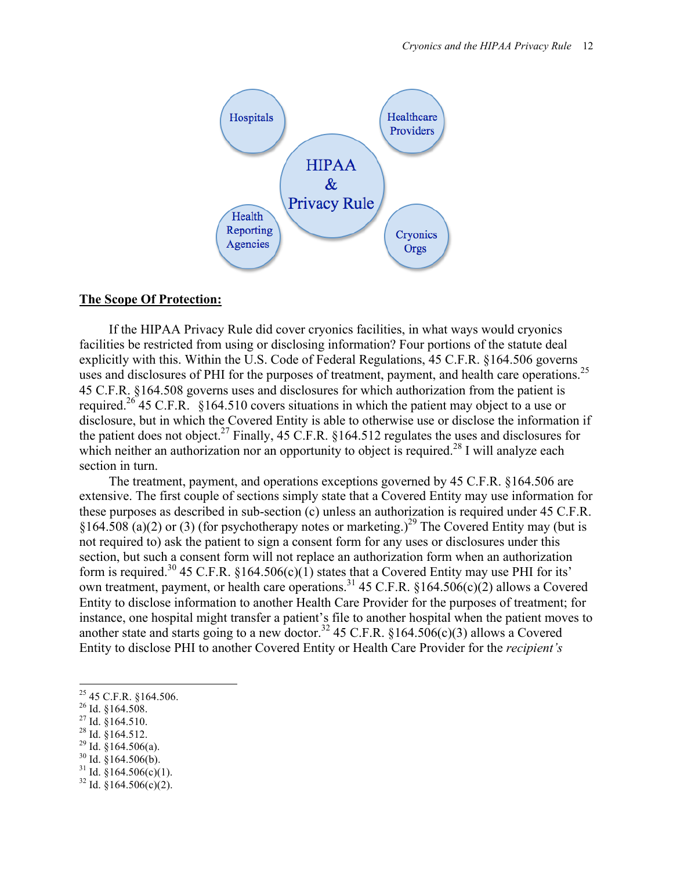

#### **The Scope Of Protection:**

If the HIPAA Privacy Rule did cover cryonics facilities, in what ways would cryonics facilities be restricted from using or disclosing information? Four portions of the statute deal explicitly with this. Within the U.S. Code of Federal Regulations, 45 C.F.R. §164.506 governs uses and disclosures of PHI for the purposes of treatment, payment, and health care operations.<sup>25</sup> 45 C.F.R. §164.508 governs uses and disclosures for which authorization from the patient is required.<sup>26</sup> 45 C.F.R. §164.510 covers situations in which the patient may object to a use or disclosure, but in which the Covered Entity is able to otherwise use or disclose the information if the patient does not object.<sup>27</sup> Finally, 45 C.F.R. §164.512 regulates the uses and disclosures for which neither an authorization nor an opportunity to object is required.<sup>28</sup> I will analyze each section in turn.

The treatment, payment, and operations exceptions governed by 45 C.F.R. §164.506 are extensive. The first couple of sections simply state that a Covered Entity may use information for these purposes as described in sub-section (c) unless an authorization is required under 45 C.F.R.  $\frac{1}{2}$  (a)(2) or (3) (for psychotherapy notes or marketing.)<sup>29</sup> The Covered Entity may (but is not required to) ask the patient to sign a consent form for any uses or disclosures under this section, but such a consent form will not replace an authorization form when an authorization form is required.<sup>30</sup> 45 C.F.R. §164.506(c)(1) states that a Covered Entity may use PHI for its' own treatment, payment, or health care operations.<sup>31</sup> 45 C.F.R. §164.506(c)(2) allows a Covered Entity to disclose information to another Health Care Provider for the purposes of treatment; for instance, one hospital might transfer a patient's file to another hospital when the patient moves to another state and starts going to a new doctor.<sup>32</sup> 45 C.F.R. §164.506(c)(3) allows a Covered Entity to disclose PHI to another Covered Entity or Health Care Provider for the *recipient's*

!!!!!!!!!!!!!!!!!!!!!!!!!!!!!!!!!!!!!!!!!!!!!!!!!!!!!!!!!!!!

- 
- 
- 
- 
- <sup>25</sup> 45 C.F.R. §164.506.<br><sup>26</sup> Id. §164.508.<br><sup>27</sup> Id. §164.510.<br><sup>28</sup> Id. §164.512.<br><sup>29</sup> Id. §164.506(a). <sup>31</sup> Id. §164.506(c)(1). <sup>32</sup> Id. §164.506(c)(2).
-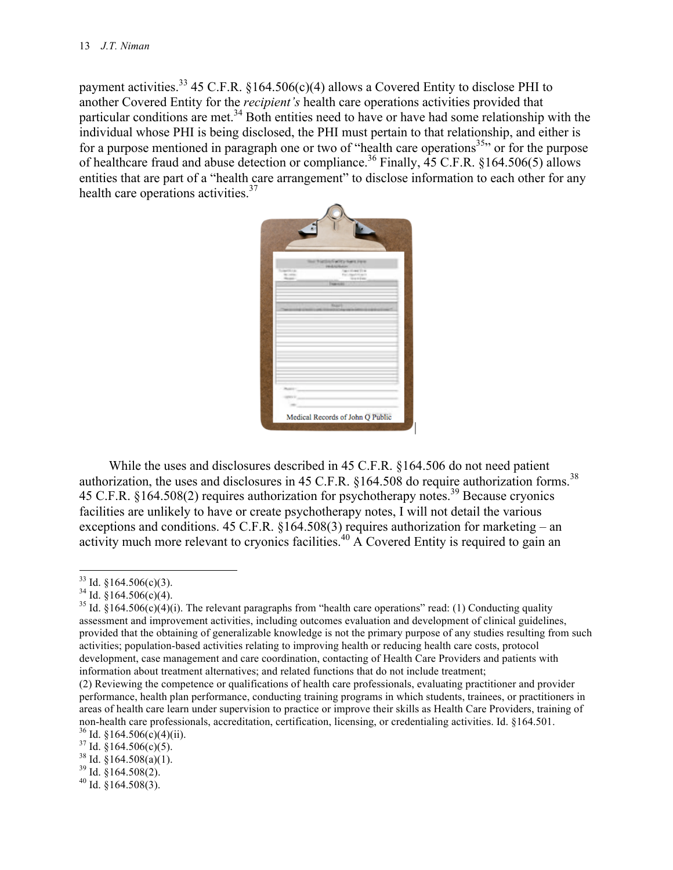payment activities.<sup>33</sup> 45 C.F.R. §164.506(c)(4) allows a Covered Entity to disclose PHI to another Covered Entity for the *recipient's* health care operations activities provided that particular conditions are met.<sup>34</sup> Both entities need to have or have had some relationship with the individual whose PHI is being disclosed, the PHI must pertain to that relationship, and either is for a purpose mentioned in paragraph one or two of "health care operations<sup>35</sup>" or for the purpose of healthcare fraud and abuse detection or compliance.<sup>36</sup> Finally,  $\overline{45}$  C.F.R. §164.506(5) allows entities that are part of a "health care arrangement" to disclose information to each other for any health care operations activities. $37$ 



While the uses and disclosures described in 45 C.F.R. §164.506 do not need patient authorization, the uses and disclosures in 45 C.F.R.  $$164.508$  do require authorization forms.<sup>38</sup> 45 C.F.R. §164.508(2) requires authorization for psychotherapy notes.39 Because cryonics facilities are unlikely to have or create psychotherapy notes, I will not detail the various exceptions and conditions. 45 C.F.R. §164.508(3) requires authorization for marketing – an activity much more relevant to cryonics facilities.<sup>40</sup> A Covered Entity is required to gain an

<sup>&</sup>lt;sup>33</sup> Id. §164.506(c)(3).<br><sup>34</sup> Id. §164.506(c)(4).<br><sup>35</sup> Id. §164.506(c)(4)(i). The relevant paragraphs from "health care operations" read: (1) Conducting quality assessment and improvement activities, including outcomes evaluation and development of clinical guidelines, provided that the obtaining of generalizable knowledge is not the primary purpose of any studies resulting from such activities; population-based activities relating to improving health or reducing health care costs, protocol development, case management and care coordination, contacting of Health Care Providers and patients with information about treatment alternatives; and related functions that do not include treatment;

<sup>(2)</sup> Reviewing the competence or qualifications of health care professionals, evaluating practitioner and provider performance, health plan performance, conducting training programs in which students, trainees, or practitioners in areas of health care learn under supervision to practice or improve their skills as Health Care Providers, training of non-health care professionals, accreditation, certification, licensing, or credentialing activities. Id. §164.501.<br><sup>36</sup> Id. §164.506(c)(4)(ii).<br><sup>37</sup> Id. §164.506(c)(5).<br><sup>37</sup> Id. §164.508(a)(1).<br><sup>39</sup> Id. §164.508(2).<br><sup>40</sup>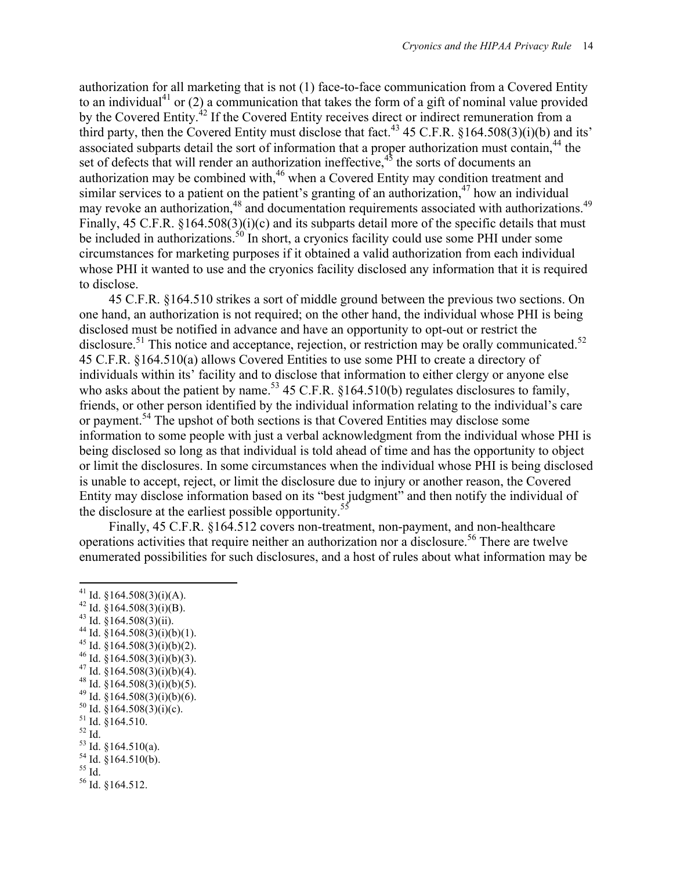authorization for all marketing that is not (1) face-to-face communication from a Covered Entity to an individual<sup>41</sup> or (2) a communication that takes the form of a gift of nominal value provided by the Covered Entity.<sup>42</sup> If the Covered Entity receives direct or indirect remuneration from a third party, then the Covered Entity must disclose that fact.<sup>43</sup> 45 C.F.R.  $$164.508(3)(i)b$  and its' associated subparts detail the sort of information that a proper authorization must contain,<sup>44</sup> the set of defects that will render an authorization ineffective,<sup>45</sup> the sorts of documents an authorization may be combined with,<sup>46</sup> when a Covered Entity may condition treatment and similar services to a patient on the patient's granting of an authorization,<sup>47</sup> how an individual may revoke an authorization,<sup>48</sup> and documentation requirements associated with authorizations.<sup>49</sup> Finally, 45 C.F.R. §164.508(3)(i)(c) and its subparts detail more of the specific details that must be included in authorizations.<sup>50</sup> In short, a cryonics facility could use some PHI under some circumstances for marketing purposes if it obtained a valid authorization from each individual whose PHI it wanted to use and the cryonics facility disclosed any information that it is required to disclose.

45 C.F.R. §164.510 strikes a sort of middle ground between the previous two sections. On one hand, an authorization is not required; on the other hand, the individual whose PHI is being disclosed must be notified in advance and have an opportunity to opt-out or restrict the disclosure.<sup>51</sup> This notice and acceptance, rejection, or restriction may be orally communicated.<sup>52</sup> 45 C.F.R. §164.510(a) allows Covered Entities to use some PHI to create a directory of individuals within its' facility and to disclose that information to either clergy or anyone else who asks about the patient by name.<sup>53</sup> 45 C.F.R. §164.510(b) regulates disclosures to family, friends, or other person identified by the individual information relating to the individual's care or payment.54 The upshot of both sections is that Covered Entities may disclose some information to some people with just a verbal acknowledgment from the individual whose PHI is being disclosed so long as that individual is told ahead of time and has the opportunity to object or limit the disclosures. In some circumstances when the individual whose PHI is being disclosed is unable to accept, reject, or limit the disclosure due to injury or another reason, the Covered Entity may disclose information based on its "best judgment" and then notify the individual of the disclosure at the earliest possible opportunity.<sup>55</sup>

Finally, 45 C.F.R. §164.512 covers non-treatment, non-payment, and non-healthcare operations activities that require neither an authorization nor a disclosure.<sup>56</sup> There are twelve enumerated possibilities for such disclosures, and a host of rules about what information may be

- 
- 
- 
- 
- 
- 
- 
- 
- 
- 
- 
- 

<sup>&</sup>lt;sup>41</sup> Id. §164.508(3)(i)(A).<br><sup>42</sup> Id. §164.508(3)(i)(B). <sup>43</sup> Id. §164.508(3)(ii).<br>
<sup>44</sup> Id. §164.508(3)(ii).<br>
<sup>45</sup> Id. §164.508(3)(i)(b)(1).<br>
<sup>45</sup> Id. §164.508(3)(i)(b)(2).<br>
<sup>46</sup> Id. §164.508(3)(i)(b)(3).<br>
<sup>47</sup> Id. §164.508(3)(i)(b)(4).<br>
<sup>48</sup> Id. §164.508(3)(i)(b)(6).<br>
<sup>49</sup> Id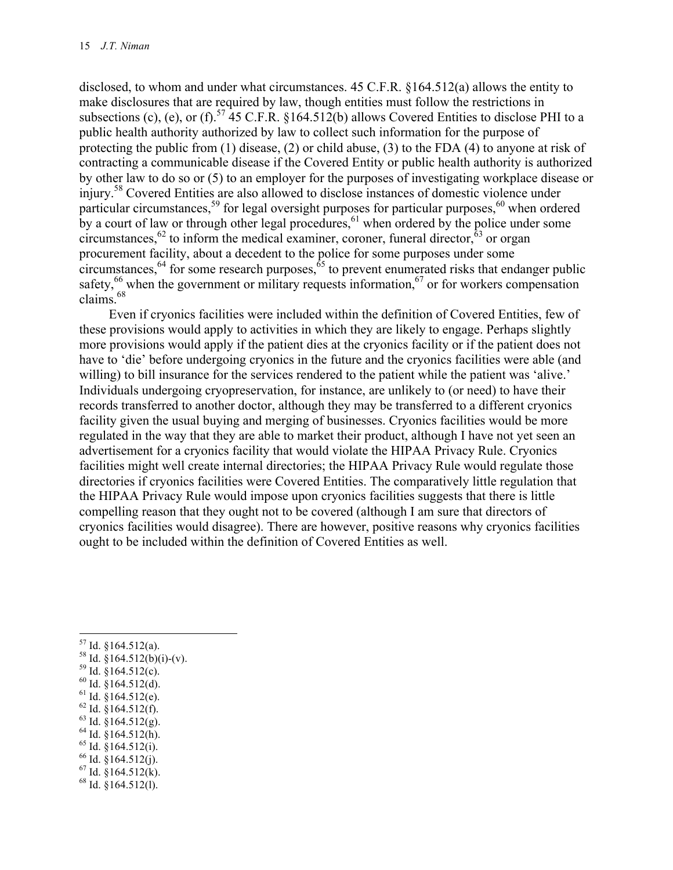disclosed, to whom and under what circumstances. 45 C.F.R. §164.512(a) allows the entity to make disclosures that are required by law, though entities must follow the restrictions in subsections (c), (e), or (f).<sup>57</sup> 45 C.F.R. §164.512(b) allows Covered Entities to disclose PHI to a public health authority authorized by law to collect such information for the purpose of protecting the public from (1) disease, (2) or child abuse, (3) to the FDA (4) to anyone at risk of contracting a communicable disease if the Covered Entity or public health authority is authorized by other law to do so or (5) to an employer for the purposes of investigating workplace disease or injury.58 Covered Entities are also allowed to disclose instances of domestic violence under particular circumstances,<sup>59</sup> for legal oversight purposes for particular purposes,<sup>60</sup> when ordered by a court of law or through other legal procedures,  $6^{1}$  when ordered by the police under some circumstances,  $^{62}$  to inform the medical examiner, coroner, funeral director,  $^{63}$  or organ procurement facility, about a decedent to the police for some purposes under some circumstances,  $64$  for some research purposes,  $65$  to prevent enumerated risks that endanger public safety, $66$  when the government or military requests information, $67$  or for workers compensation claims<sup>68</sup>

Even if cryonics facilities were included within the definition of Covered Entities, few of these provisions would apply to activities in which they are likely to engage. Perhaps slightly more provisions would apply if the patient dies at the cryonics facility or if the patient does not have to 'die' before undergoing cryonics in the future and the cryonics facilities were able (and willing) to bill insurance for the services rendered to the patient while the patient was 'alive.' Individuals undergoing cryopreservation, for instance, are unlikely to (or need) to have their records transferred to another doctor, although they may be transferred to a different cryonics facility given the usual buying and merging of businesses. Cryonics facilities would be more regulated in the way that they are able to market their product, although I have not yet seen an advertisement for a cryonics facility that would violate the HIPAA Privacy Rule. Cryonics facilities might well create internal directories; the HIPAA Privacy Rule would regulate those directories if cryonics facilities were Covered Entities. The comparatively little regulation that the HIPAA Privacy Rule would impose upon cryonics facilities suggests that there is little compelling reason that they ought not to be covered (although I am sure that directors of cryonics facilities would disagree). There are however, positive reasons why cryonics facilities ought to be included within the definition of Covered Entities as well.

- !!!!!!!!!!!!!!!!!!!!!!!!!!!!!!!!!!!!!!!!!!!!!!!!!!!!!!!!!!!!
- <sup>57</sup> Id. §164.512(a).<br>
<sup>58</sup> Id. §164.512(b)(i)-(v).<br>
<sup>59</sup> Id. §164.512(c).<br>
<sup>60</sup> Id. §164.512(d).<br>
<sup>61</sup> Id. §164.512(e).<br>
<sup>62</sup> Id. §164.512(f).<br>
<sup>63</sup> Id. §164.512(g).<br>
<sup>64</sup> Id. §164.512(h).<br>
<sup>65</sup> Id. §164.512(i).<br>
<sup>67</sup> Id
- 
- 
- 
- 
- 
- 
- 
- 
-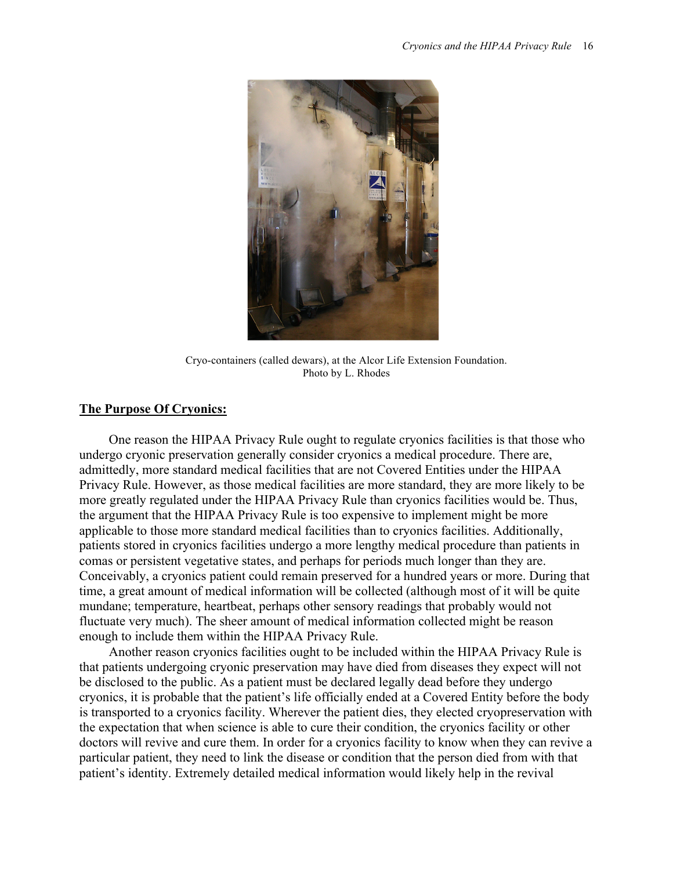

Cryo-containers (called dewars), at the Alcor Life Extension Foundation. Photo by L. Rhodes

#### **The Purpose Of Cryonics:**

One reason the HIPAA Privacy Rule ought to regulate cryonics facilities is that those who undergo cryonic preservation generally consider cryonics a medical procedure. There are, admittedly, more standard medical facilities that are not Covered Entities under the HIPAA Privacy Rule. However, as those medical facilities are more standard, they are more likely to be more greatly regulated under the HIPAA Privacy Rule than cryonics facilities would be. Thus, the argument that the HIPAA Privacy Rule is too expensive to implement might be more applicable to those more standard medical facilities than to cryonics facilities. Additionally, patients stored in cryonics facilities undergo a more lengthy medical procedure than patients in comas or persistent vegetative states, and perhaps for periods much longer than they are. Conceivably, a cryonics patient could remain preserved for a hundred years or more. During that time, a great amount of medical information will be collected (although most of it will be quite mundane; temperature, heartbeat, perhaps other sensory readings that probably would not fluctuate very much). The sheer amount of medical information collected might be reason enough to include them within the HIPAA Privacy Rule.

Another reason cryonics facilities ought to be included within the HIPAA Privacy Rule is that patients undergoing cryonic preservation may have died from diseases they expect will not be disclosed to the public. As a patient must be declared legally dead before they undergo cryonics, it is probable that the patient's life officially ended at a Covered Entity before the body is transported to a cryonics facility. Wherever the patient dies, they elected cryopreservation with the expectation that when science is able to cure their condition, the cryonics facility or other doctors will revive and cure them. In order for a cryonics facility to know when they can revive a particular patient, they need to link the disease or condition that the person died from with that patient's identity. Extremely detailed medical information would likely help in the revival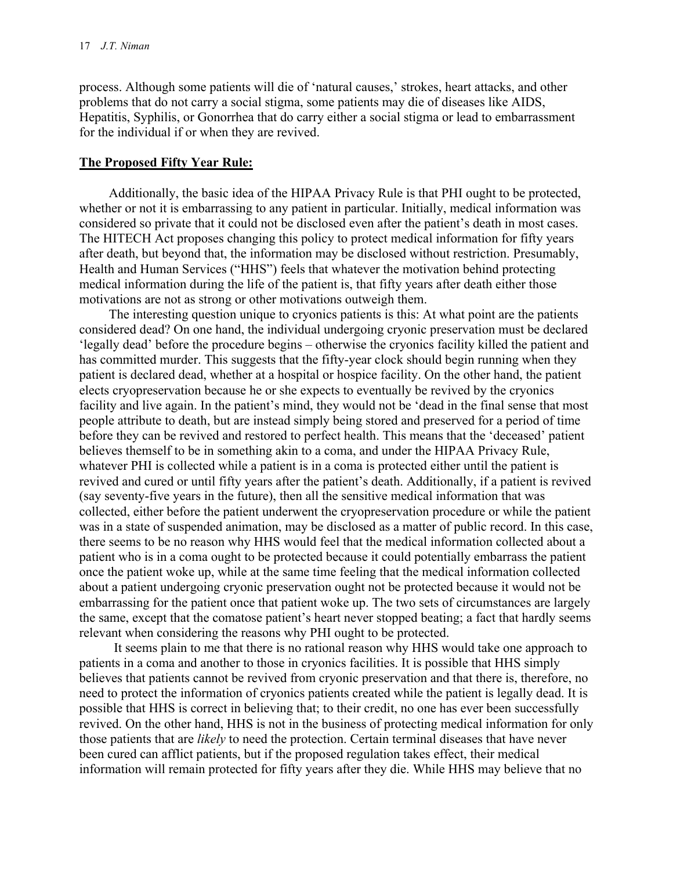process. Although some patients will die of 'natural causes,' strokes, heart attacks, and other problems that do not carry a social stigma, some patients may die of diseases like AIDS, Hepatitis, Syphilis, or Gonorrhea that do carry either a social stigma or lead to embarrassment for the individual if or when they are revived.

### **The Proposed Fifty Year Rule:**

Additionally, the basic idea of the HIPAA Privacy Rule is that PHI ought to be protected, whether or not it is embarrassing to any patient in particular. Initially, medical information was considered so private that it could not be disclosed even after the patient's death in most cases. The HITECH Act proposes changing this policy to protect medical information for fifty years after death, but beyond that, the information may be disclosed without restriction. Presumably, Health and Human Services ("HHS") feels that whatever the motivation behind protecting medical information during the life of the patient is, that fifty years after death either those motivations are not as strong or other motivations outweigh them.

The interesting question unique to cryonics patients is this: At what point are the patients considered dead? On one hand, the individual undergoing cryonic preservation must be declared 'legally dead' before the procedure begins – otherwise the cryonics facility killed the patient and has committed murder. This suggests that the fifty-year clock should begin running when they patient is declared dead, whether at a hospital or hospice facility. On the other hand, the patient elects cryopreservation because he or she expects to eventually be revived by the cryonics facility and live again. In the patient's mind, they would not be 'dead in the final sense that most people attribute to death, but are instead simply being stored and preserved for a period of time before they can be revived and restored to perfect health. This means that the 'deceased' patient believes themself to be in something akin to a coma, and under the HIPAA Privacy Rule, whatever PHI is collected while a patient is in a coma is protected either until the patient is revived and cured or until fifty years after the patient's death. Additionally, if a patient is revived (say seventy-five years in the future), then all the sensitive medical information that was collected, either before the patient underwent the cryopreservation procedure or while the patient was in a state of suspended animation, may be disclosed as a matter of public record. In this case, there seems to be no reason why HHS would feel that the medical information collected about a patient who is in a coma ought to be protected because it could potentially embarrass the patient once the patient woke up, while at the same time feeling that the medical information collected about a patient undergoing cryonic preservation ought not be protected because it would not be embarrassing for the patient once that patient woke up. The two sets of circumstances are largely the same, except that the comatose patient's heart never stopped beating; a fact that hardly seems relevant when considering the reasons why PHI ought to be protected.

It seems plain to me that there is no rational reason why HHS would take one approach to patients in a coma and another to those in cryonics facilities. It is possible that HHS simply believes that patients cannot be revived from cryonic preservation and that there is, therefore, no need to protect the information of cryonics patients created while the patient is legally dead. It is possible that HHS is correct in believing that; to their credit, no one has ever been successfully revived. On the other hand, HHS is not in the business of protecting medical information for only those patients that are *likely* to need the protection. Certain terminal diseases that have never been cured can afflict patients, but if the proposed regulation takes effect, their medical information will remain protected for fifty years after they die. While HHS may believe that no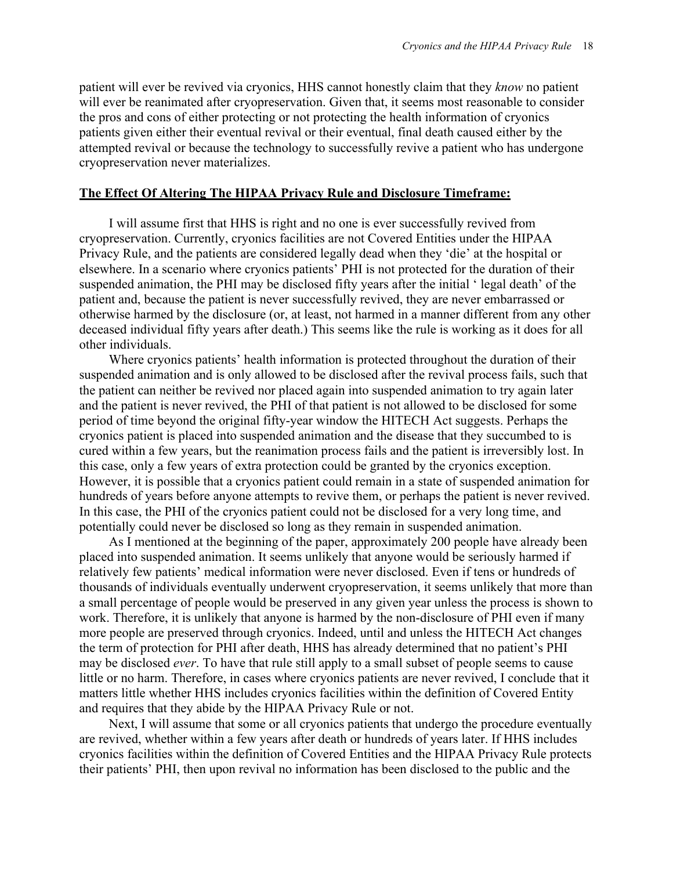patient will ever be revived via cryonics, HHS cannot honestly claim that they *know* no patient will ever be reanimated after cryopreservation. Given that, it seems most reasonable to consider the pros and cons of either protecting or not protecting the health information of cryonics patients given either their eventual revival or their eventual, final death caused either by the attempted revival or because the technology to successfully revive a patient who has undergone cryopreservation never materializes.

### **The Effect Of Altering The HIPAA Privacy Rule and Disclosure Timeframe:**

I will assume first that HHS is right and no one is ever successfully revived from cryopreservation. Currently, cryonics facilities are not Covered Entities under the HIPAA Privacy Rule, and the patients are considered legally dead when they 'die' at the hospital or elsewhere. In a scenario where cryonics patients' PHI is not protected for the duration of their suspended animation, the PHI may be disclosed fifty years after the initial ' legal death' of the patient and, because the patient is never successfully revived, they are never embarrassed or otherwise harmed by the disclosure (or, at least, not harmed in a manner different from any other deceased individual fifty years after death.) This seems like the rule is working as it does for all other individuals.

Where cryonics patients' health information is protected throughout the duration of their suspended animation and is only allowed to be disclosed after the revival process fails, such that the patient can neither be revived nor placed again into suspended animation to try again later and the patient is never revived, the PHI of that patient is not allowed to be disclosed for some period of time beyond the original fifty-year window the HITECH Act suggests. Perhaps the cryonics patient is placed into suspended animation and the disease that they succumbed to is cured within a few years, but the reanimation process fails and the patient is irreversibly lost. In this case, only a few years of extra protection could be granted by the cryonics exception. However, it is possible that a cryonics patient could remain in a state of suspended animation for hundreds of years before anyone attempts to revive them, or perhaps the patient is never revived. In this case, the PHI of the cryonics patient could not be disclosed for a very long time, and potentially could never be disclosed so long as they remain in suspended animation.

As I mentioned at the beginning of the paper, approximately 200 people have already been placed into suspended animation. It seems unlikely that anyone would be seriously harmed if relatively few patients' medical information were never disclosed. Even if tens or hundreds of thousands of individuals eventually underwent cryopreservation, it seems unlikely that more than a small percentage of people would be preserved in any given year unless the process is shown to work. Therefore, it is unlikely that anyone is harmed by the non-disclosure of PHI even if many more people are preserved through cryonics. Indeed, until and unless the HITECH Act changes the term of protection for PHI after death, HHS has already determined that no patient's PHI may be disclosed *ever*. To have that rule still apply to a small subset of people seems to cause little or no harm. Therefore, in cases where cryonics patients are never revived, I conclude that it matters little whether HHS includes cryonics facilities within the definition of Covered Entity and requires that they abide by the HIPAA Privacy Rule or not.

Next, I will assume that some or all cryonics patients that undergo the procedure eventually are revived, whether within a few years after death or hundreds of years later. If HHS includes cryonics facilities within the definition of Covered Entities and the HIPAA Privacy Rule protects their patients' PHI, then upon revival no information has been disclosed to the public and the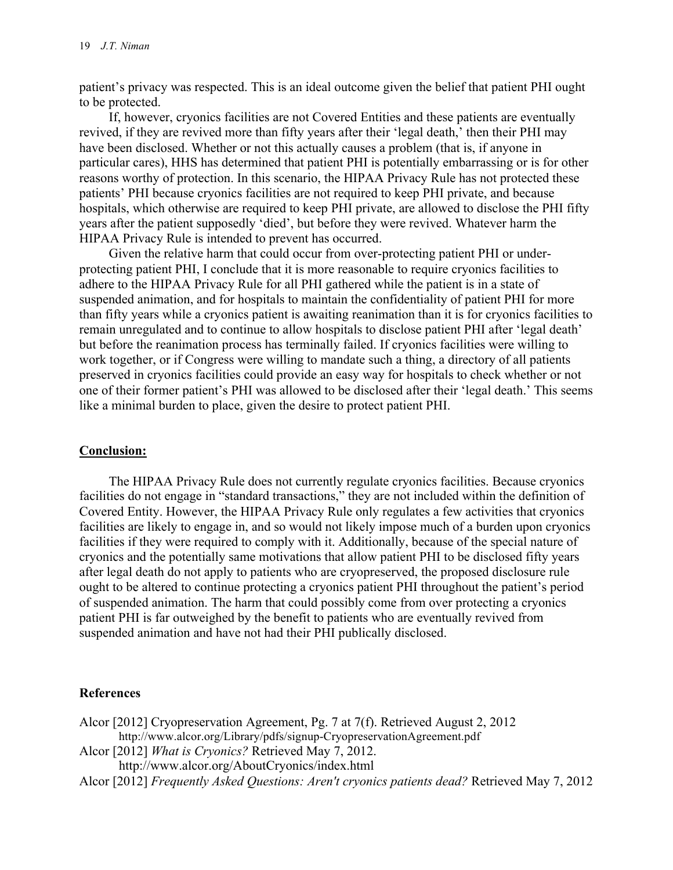patient's privacy was respected. This is an ideal outcome given the belief that patient PHI ought to be protected.

If, however, cryonics facilities are not Covered Entities and these patients are eventually revived, if they are revived more than fifty years after their 'legal death,' then their PHI may have been disclosed. Whether or not this actually causes a problem (that is, if anyone in particular cares), HHS has determined that patient PHI is potentially embarrassing or is for other reasons worthy of protection. In this scenario, the HIPAA Privacy Rule has not protected these patients' PHI because cryonics facilities are not required to keep PHI private, and because hospitals, which otherwise are required to keep PHI private, are allowed to disclose the PHI fifty years after the patient supposedly 'died', but before they were revived. Whatever harm the HIPAA Privacy Rule is intended to prevent has occurred.

Given the relative harm that could occur from over-protecting patient PHI or underprotecting patient PHI, I conclude that it is more reasonable to require cryonics facilities to adhere to the HIPAA Privacy Rule for all PHI gathered while the patient is in a state of suspended animation, and for hospitals to maintain the confidentiality of patient PHI for more than fifty years while a cryonics patient is awaiting reanimation than it is for cryonics facilities to remain unregulated and to continue to allow hospitals to disclose patient PHI after 'legal death' but before the reanimation process has terminally failed. If cryonics facilities were willing to work together, or if Congress were willing to mandate such a thing, a directory of all patients preserved in cryonics facilities could provide an easy way for hospitals to check whether or not one of their former patient's PHI was allowed to be disclosed after their 'legal death.' This seems like a minimal burden to place, given the desire to protect patient PHI.

# **Conclusion:**

The HIPAA Privacy Rule does not currently regulate cryonics facilities. Because cryonics facilities do not engage in "standard transactions," they are not included within the definition of Covered Entity. However, the HIPAA Privacy Rule only regulates a few activities that cryonics facilities are likely to engage in, and so would not likely impose much of a burden upon cryonics facilities if they were required to comply with it. Additionally, because of the special nature of cryonics and the potentially same motivations that allow patient PHI to be disclosed fifty years after legal death do not apply to patients who are cryopreserved, the proposed disclosure rule ought to be altered to continue protecting a cryonics patient PHI throughout the patient's period of suspended animation. The harm that could possibly come from over protecting a cryonics patient PHI is far outweighed by the benefit to patients who are eventually revived from suspended animation and have not had their PHI publically disclosed.

# **References**

- Alcor [2012] Cryopreservation Agreement, Pg. 7 at 7(f). Retrieved August 2, 2012 http://www.alcor.org/Library/pdfs/signup-CryopreservationAgreement.pdf Alcor [2012] *What is Cryonics?* Retrieved May 7, 2012.
- http://www.alcor.org/AboutCryonics/index.html
- Alcor [2012] *Frequently Asked Questions: Aren't cryonics patients dead?* Retrieved May 7, 2012